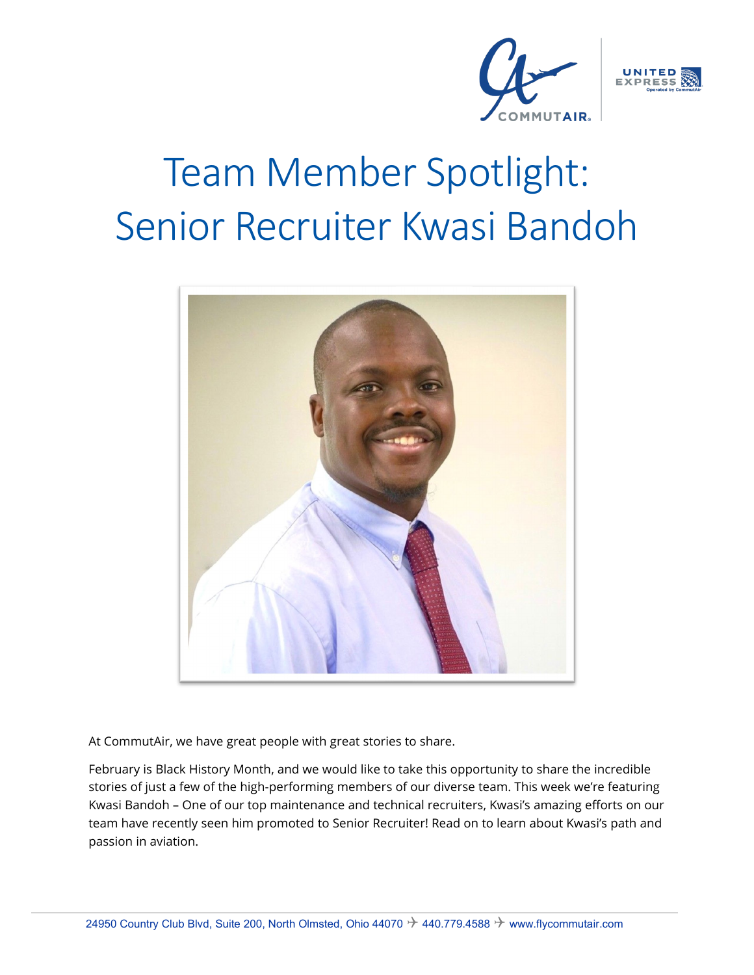



# Team Member Spotlight: Senior Recruiter Kwasi Bandoh



At CommutAir, we have great people with great stories to share.

February is Black History Month, and we would like to take this opportunity to share the incredible stories of just a few of the high-performing members of our diverse team. This week we're featuring Kwasi Bandoh – One of our top maintenance and technical recruiters, Kwasi's amazing efforts on our team have recently seen him promoted to Senior Recruiter! Read on to learn about Kwasi's path and passion in aviation.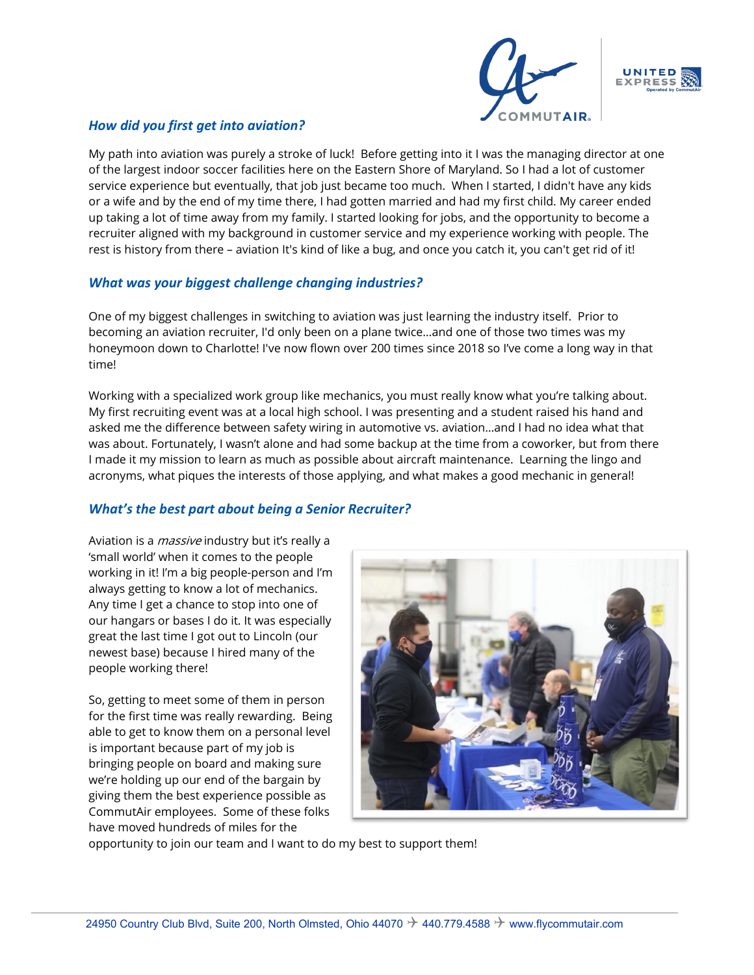



## *How did you first get into aviation?*

My path into aviation was purely a stroke of luck! Before getting into it I was the managing director at one of the largest indoor soccer facilities here on the Eastern Shore of Maryland. So I had a lot of customer service experience but eventually, that job just became too much. When I started, I didn't have any kids or a wife and by the end of my time there, I had gotten married and had my first child. My career ended up taking a lot of time away from my family. I started looking for jobs, and the opportunity to become a recruiter aligned with my background in customer service and my experience working with people. The rest is history from there – aviation It's kind of like a bug, and once you catch it, you can't get rid of it!

#### *What was your biggest challenge changing industries?*

One of my biggest challenges in switching to aviation was just learning the industry itself. Prior to becoming an aviation recruiter, I'd only been on a plane twice…and one of those two times was my honeymoon down to Charlotte! I've now flown over 200 times since 2018 so I've come a long way in that time!

Working with a specialized work group like mechanics, you must really know what you're talking about. My first recruiting event was at a local high school. I was presenting and a student raised his hand and asked me the difference between safety wiring in automotive vs. aviation…and I had no idea what that was about. Fortunately, I wasn't alone and had some backup at the time from a coworker, but from there I made it my mission to learn as much as possible about aircraft maintenance. Learning the lingo and acronyms, what piques the interests of those applying, and what makes a good mechanic in general!

## *What's the best part about being a Senior Recruiter?*

Aviation is a *massive* industry but it's really a 'small world' when it comes to the people working in it! I'm a big people-person and I'm always getting to know a lot of mechanics. Any time I get a chance to stop into one of our hangars or bases I do it. It was especially great the last time I got out to Lincoln (our newest base) because I hired many of the people working there!

So, getting to meet some of them in person for the first time was really rewarding. Being able to get to know them on a personal level is important because part of my job is bringing people on board and making sure we're holding up our end of the bargain by giving them the best experience possible as CommutAir employees. Some of these folks have moved hundreds of miles for the



opportunity to join our team and I want to do my best to support them!